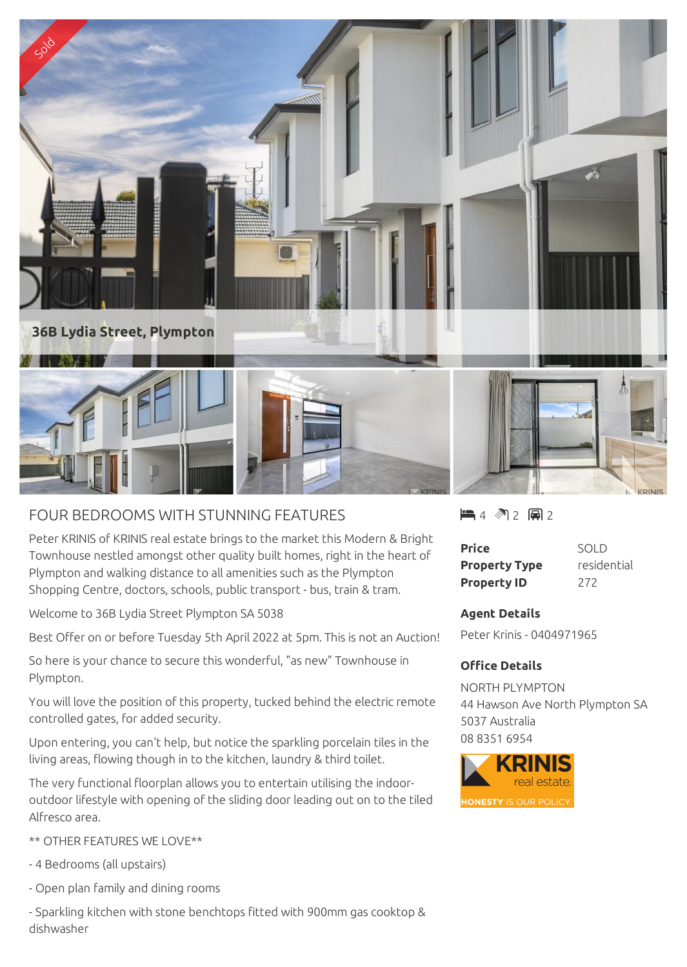

## FOUR BEDROOMS WITH STUNNING FEATURES

Peter KRINIS of KRINIS real estate brings to the market this Modern & Bright Townhouse nestled amongst other quality built homes, right in the heart of Plympton and walking distance to all amenities such as the Plympton Shopping Centre, doctors, schools, public transport - bus, train & tram.

Welcome to 36B Lydia Street Plympton SA 5038

Best Offer on or before Tuesday 5th April 2022 at 5pm. This is not an Auction!

So here is your chance to secure this wonderful, "as new" Townhouse in Plympton.

You will love the position of this property, tucked behind the electric remote controlled gates, for added security.

Upon entering, you can't help, but notice the sparkling porcelain tiles in the living areas, flowing though in to the kitchen, laundry & third toilet.

The very functional floorplan allows you to entertain utilising the indooroutdoor lifestyle with opening of the sliding door leading out on to the tiled Alfresco area.

\*\* OTHER FEATURES WE LOVE\*\*

- 4 Bedrooms (all upstairs)

- Open plan family and dining rooms

- Sparkling kitchen with stone benchtops fitted with 900mm gas cooktop & dishwasher

 $-4$   $2$   $-2$   $-2$ 

| <b>Price</b>         | SOLD        |
|----------------------|-------------|
| <b>Property Type</b> | residential |
| <b>Property ID</b>   | 272         |

## **Agent Details**

Peter Krinis - 0404971965

## **Office Details**

NORTH PLYMPTON 44 Hawson Ave North Plympton SA 5037 Australia 08 8351 6954